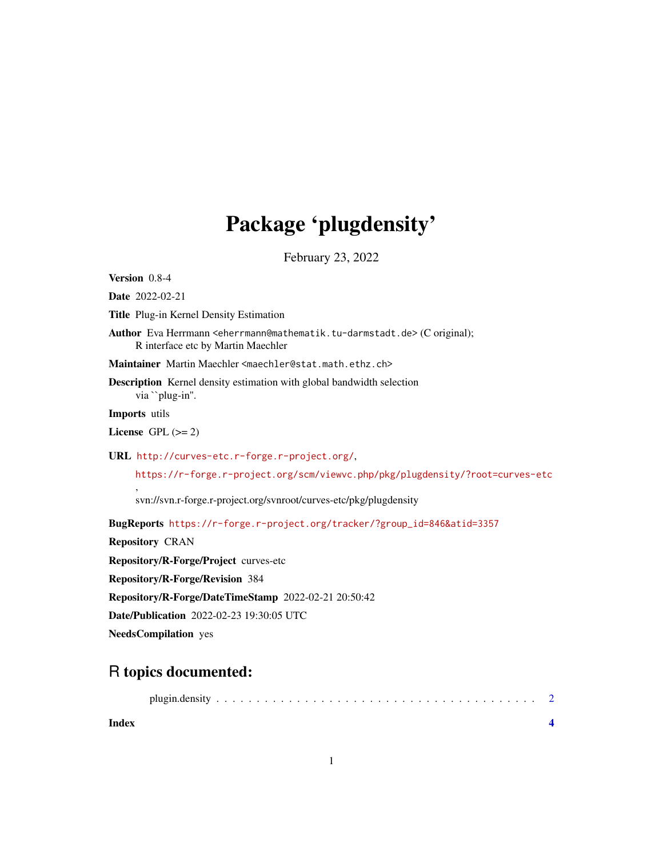## Package 'plugdensity'

February 23, 2022

<span id="page-0-0"></span>Version 0.8-4

Date 2022-02-21

Title Plug-in Kernel Density Estimation

Author Eva Herrmann <eherrmann@mathematik.tu-darmstadt.de> (C original); R interface etc by Martin Maechler

Maintainer Martin Maechler <maechler@stat.math.ethz.ch>

Description Kernel density estimation with global bandwidth selection via ``plug-in".

Imports utils

,

License GPL  $(>= 2)$ 

URL <http://curves-etc.r-forge.r-project.org/>,

<https://r-forge.r-project.org/scm/viewvc.php/pkg/plugdensity/?root=curves-etc>

svn://svn.r-forge.r-project.org/svnroot/curves-etc/pkg/plugdensity

BugReports [https://r-forge.r-project.org/tracker/?group\\_id=846&atid=3357](https://r-forge.r-project.org/tracker/?group_id=846&atid=3357)

Repository CRAN

Repository/R-Forge/Project curves-etc

Repository/R-Forge/Revision 384

Repository/R-Forge/DateTimeStamp 2022-02-21 20:50:42

Date/Publication 2022-02-23 19:30:05 UTC

NeedsCompilation yes

### R topics documented:

|--|--|--|--|--|--|--|--|--|--|--|--|--|--|--|--|--|--|--|--|--|--|--|--|--|--|--|--|--|--|--|--|--|--|--|--|--|--|--|--|--|--|--|--|--|

**Index** [4](#page-3-0)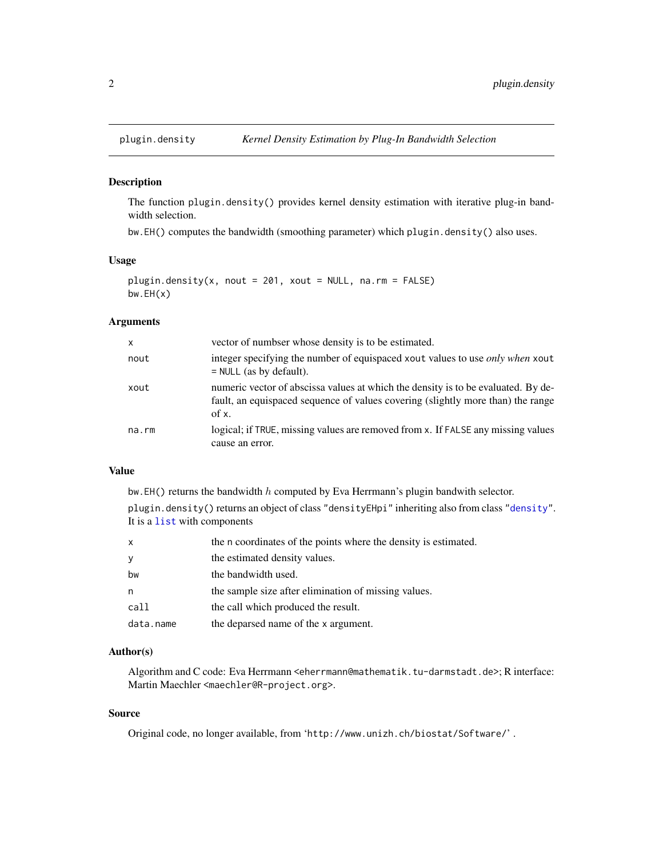<span id="page-1-0"></span>

#### Description

The function plugin.density() provides kernel density estimation with iterative plug-in bandwidth selection.

bw.EH() computes the bandwidth (smoothing parameter) which plugin.density() also uses.

#### Usage

```
plugin.density(x, nout = 201, xout = NULL, na.rm = FALSE)
bw.EH(x)
```
#### Arguments

| $\mathsf{x}$ | vector of numbser whose density is to be estimated.                                                                                                                           |
|--------------|-------------------------------------------------------------------------------------------------------------------------------------------------------------------------------|
| nout         | integer specifying the number of equispaced xout values to use <i>only when</i> xout<br>$=$ NULL (as by default).                                                             |
| xout         | numeric vector of abscissa values at which the density is to be evaluated. By de-<br>fault, an equispaced sequence of values covering (slightly more than) the range<br>of x. |
| na.rm        | logical; if TRUE, missing values are removed from x. If FALSE any missing values<br>cause an error.                                                                           |

#### Value

bw. EH() returns the bandwidth  $h$  computed by Eva Herrmann's plugin bandwith selector.

plugin.density() returns an object of class "densityEHpi" inheriting also from class ["density"](#page-0-0). It is a [list](#page-0-0) with components

| $\mathsf{x}$ | the n coordinates of the points where the density is estimated. |
|--------------|-----------------------------------------------------------------|
|              | the estimated density values.                                   |
| bw           | the bandwidth used.                                             |
| n            | the sample size after elimination of missing values.            |
| call         | the call which produced the result.                             |
| data.name    | the deparsed name of the x argument.                            |

#### Author(s)

Algorithm and C code: Eva Herrmann <eherrmann@mathematik.tu-darmstadt.de>; R interface: Martin Maechler <maechler@R-project.org>.

#### Source

Original code, no longer available, from 'http://www.unizh.ch/biostat/Software/' .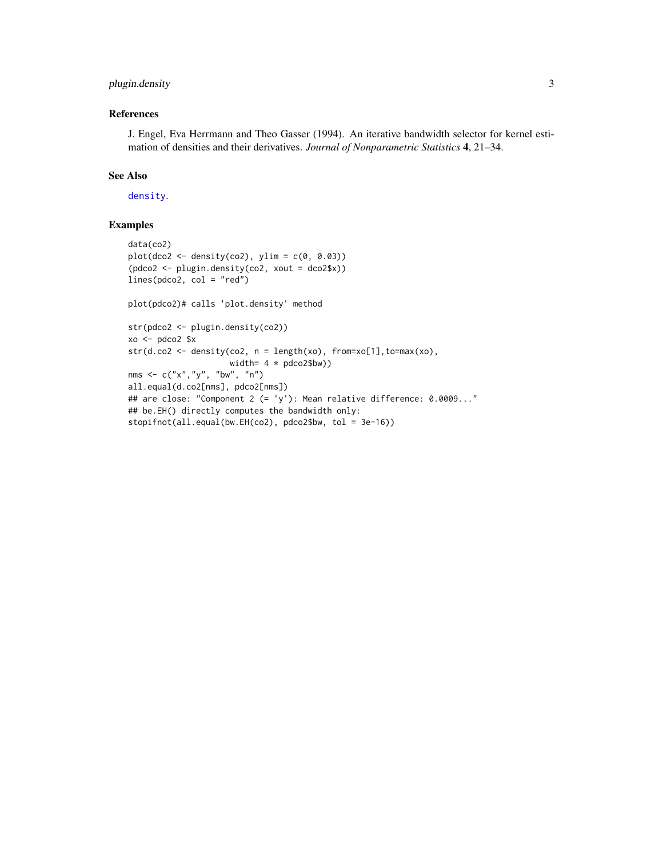#### <span id="page-2-0"></span>plugin.density 3

#### References

J. Engel, Eva Herrmann and Theo Gasser (1994). An iterative bandwidth selector for kernel estimation of densities and their derivatives. *Journal of Nonparametric Statistics* 4, 21–34.

#### See Also

[density](#page-0-0).

#### Examples

```
data(co2)
plot(dco2 < - density(co2), ylim = c(0, 0.03))(pdco2 <- plugin.density(co2, xout = dco2$x))
lines(pdco2, col = "red")
plot(pdco2)# calls 'plot.density' method
str(pdco2 <- plugin.density(co2))
xo <- pdco2 $x
str(d.co2 <- density(co2, n = length(xo), from=xo[1],to=max(xo),
                    width= 4 * pdco2$bw)
nms \leq c("x", "y", "bw", "n")all.equal(d.co2[nms], pdco2[nms])
## are close: "Component 2 (= 'y'): Mean relative difference: 0.0009..."
## be.EH() directly computes the bandwidth only:
stopifnot(all.equal(bw.EH(co2), pdco2$bw, tol = 3e-16))
```